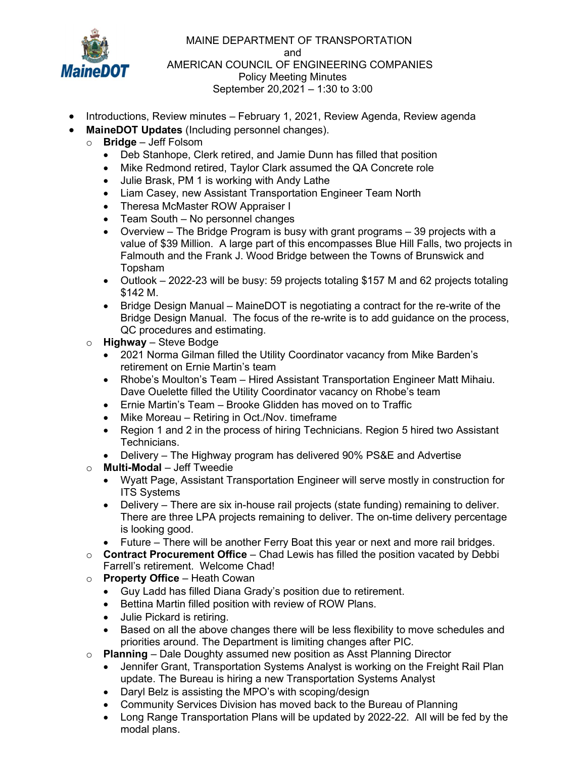

 MAINE DEPARTMENT OF TRANSPORTATION and AMERICAN COUNCIL OF ENGINEERING COMPANIES Policy Meeting Minutes September 20,2021 – 1:30 to 3:00

- Introductions, Review minutes February 1, 2021, Review Agenda, Review agenda
- MaineDOT Updates (Including personnel changes).
	- $\circ$  Bridge Jeff Folsom
		- Deb Stanhope, Clerk retired, and Jamie Dunn has filled that position
		- Mike Redmond retired, Taylor Clark assumed the QA Concrete role
		- Julie Brask, PM 1 is working with Andy Lathe
		- Liam Casey, new Assistant Transportation Engineer Team North
		- Theresa McMaster ROW Appraiser I
		- Team South No personnel changes
		- Overview The Bridge Program is busy with grant programs 39 projects with a value of \$39 Million. A large part of this encompasses Blue Hill Falls, two projects in Falmouth and the Frank J. Wood Bridge between the Towns of Brunswick and Topsham
		- Outlook 2022-23 will be busy: 59 projects totaling \$157 M and 62 projects totaling \$142 M.
		- Bridge Design Manual MaineDOT is negotiating a contract for the re-write of the Bridge Design Manual. The focus of the re-write is to add guidance on the process, QC procedures and estimating.
		- $\circ$  Highway Steve Bodge
			- 2021 Norma Gilman filled the Utility Coordinator vacancy from Mike Barden's retirement on Ernie Martin's team
			- Rhobe's Moulton's Team Hired Assistant Transportation Engineer Matt Mihaiu. Dave Ouelette filled the Utility Coordinator vacancy on Rhobe's team
			- Ernie Martin's Team Brooke Glidden has moved on to Traffic
			- Mike Moreau Retiring in Oct./Nov. timeframe
			- Region 1 and 2 in the process of hiring Technicians. Region 5 hired two Assistant Technicians.
			- Delivery The Highway program has delivered 90% PS&E and Advertise
		- $\circ$  Multi-Modal Jeff Tweedie
			- Wyatt Page, Assistant Transportation Engineer will serve mostly in construction for ITS Systems
			- Delivery There are six in-house rail projects (state funding) remaining to deliver. There are three LPA projects remaining to deliver. The on-time delivery percentage is looking good.
			- Future There will be another Ferry Boat this year or next and more rail bridges.
		- $\circ$  Contract Procurement Office Chad Lewis has filled the position vacated by Debbi Farrell's retirement. Welcome Chad!
		- $\circ$  Property Office Heath Cowan
			- Guy Ladd has filled Diana Grady's position due to retirement.
			- Bettina Martin filled position with review of ROW Plans.
			- Julie Pickard is retiring.
			- Based on all the above changes there will be less flexibility to move schedules and priorities around. The Department is limiting changes after PIC.
		- $\circ$  Planning Dale Doughty assumed new position as Asst Planning Director
			- Jennifer Grant, Transportation Systems Analyst is working on the Freight Rail Plan update. The Bureau is hiring a new Transportation Systems Analyst
			- Daryl Belz is assisting the MPO's with scoping/design
			- Community Services Division has moved back to the Bureau of Planning
			- Long Range Transportation Plans will be updated by 2022-22. All will be fed by the modal plans.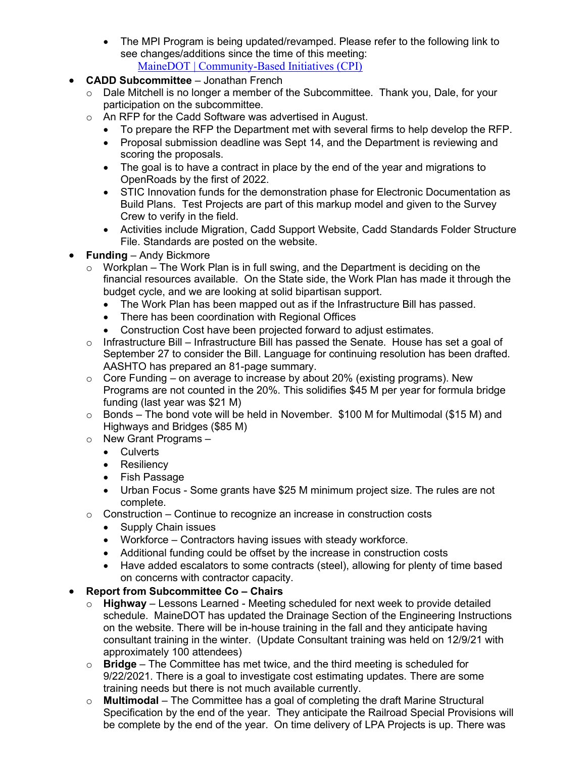- The MPI Program is being updated/revamped. Please refer to the following link to see changes/additions since the time of this meeting: MaineDOT | Community-Based Initiatives (CPI)
- CADD Subcommittee Jonathan French
	- $\circ$  Dale Mitchell is no longer a member of the Subcommittee. Thank you, Dale, for your participation on the subcommittee.
	- o An RFP for the Cadd Software was advertised in August.
		- To prepare the RFP the Department met with several firms to help develop the RFP.
		- Proposal submission deadline was Sept 14, and the Department is reviewing and scoring the proposals.
		- The goal is to have a contract in place by the end of the year and migrations to OpenRoads by the first of 2022.
		- STIC Innovation funds for the demonstration phase for Electronic Documentation as Build Plans. Test Projects are part of this markup model and given to the Survey Crew to verify in the field.
		- Activities include Migration, Cadd Support Website, Cadd Standards Folder Structure File. Standards are posted on the website.
- Funding Andy Bickmore
	- $\circ$  Workplan The Work Plan is in full swing, and the Department is deciding on the financial resources available. On the State side, the Work Plan has made it through the budget cycle, and we are looking at solid bipartisan support.
		- The Work Plan has been mapped out as if the Infrastructure Bill has passed.
		- There has been coordination with Regional Offices
		- Construction Cost have been projected forward to adjust estimates.
	- o Infrastructure Bill Infrastructure Bill has passed the Senate. House has set a goal of September 27 to consider the Bill. Language for continuing resolution has been drafted. AASHTO has prepared an 81-page summary.
	- $\circ$  Core Funding on average to increase by about 20% (existing programs). New Programs are not counted in the 20%. This solidifies \$45 M per year for formula bridge funding (last year was \$21 M)
	- $\circ$  Bonds The bond vote will be held in November. \$100 M for Multimodal (\$15 M) and Highways and Bridges (\$85 M)
	- o New Grant Programs
		- Culverts
		- Resiliency
		- Fish Passage
		- Urban Focus Some grants have \$25 M minimum project size. The rules are not complete.
	- $\circ$  Construction Continue to recognize an increase in construction costs
		- Supply Chain issues
		- Workforce Contractors having issues with steady workforce.
		- Additional funding could be offset by the increase in construction costs
		- Have added escalators to some contracts (steel), allowing for plenty of time based on concerns with contractor capacity.

## Report from Subcommittee Co – Chairs

- Highway Lessons Learned Meeting scheduled for next week to provide detailed schedule. MaineDOT has updated the Drainage Section of the Engineering Instructions on the website. There will be in-house training in the fall and they anticipate having consultant training in the winter. (Update Consultant training was held on 12/9/21 with approximately 100 attendees)
- $\circ$  **Bridge** The Committee has met twice, and the third meeting is scheduled for 9/22/2021. There is a goal to investigate cost estimating updates. There are some training needs but there is not much available currently.
- $\circ$  Multimodal The Committee has a goal of completing the draft Marine Structural Specification by the end of the year. They anticipate the Railroad Special Provisions will be complete by the end of the year. On time delivery of LPA Projects is up. There was